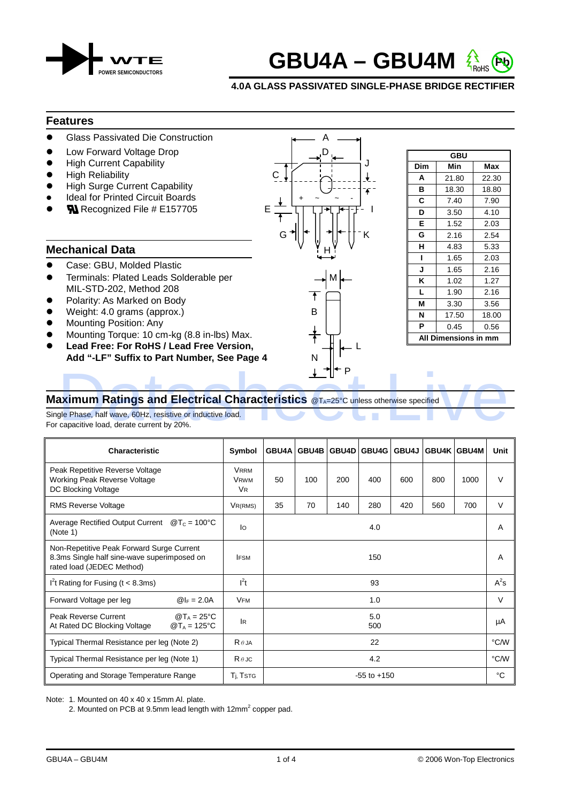



## **4.0A GLASS PASSIVATED SINGLE-PHASE BRIDGE RECTIFIER**

#### **Features**

- Glass Passivated Die Construction
- Low Forward Voltage Drop
- **High Current Capability**
- High Reliability
- High Surge Current Capability
- Ideal for Printed Circuit Boards
- **RI** Recognized File # E157705

# **Mechanical Data**

- Case: GBU, Molded Plastic
- Terminals: Plated Leads Solderable per MIL-STD-202, Method 208
- Polarity: As Marked on Body
- Weight: 4.0 grams (approx.)
- Mounting Position: Any
- Mounting Torque: 10 cm-kg (8.8 in-lbs) Max.
- **Lead Free: For RoHS / Lead Free Version,** L
- Add "-LF" Suffix to Part Number, See Page 4 Property and the set of the set of the set of the set of the set of the set of the set of the set of the set of the set of the set of the set of the set of the set of the set of the set of the set of the set of the set of

|                                                                            | reatures                                                                                                                                                                                                                    |        |
|----------------------------------------------------------------------------|-----------------------------------------------------------------------------------------------------------------------------------------------------------------------------------------------------------------------------|--------|
|                                                                            | <b>Glass Passivated Die Construction</b>                                                                                                                                                                                    |        |
| $\bullet$<br>$\bullet$<br>$\bullet$<br>$\bullet$<br>$\bullet$<br>$\bullet$ | Low Forward Voltage Drop<br><b>High Current Capability</b><br><b>High Reliability</b><br><b>High Surge Current Capability</b><br><b>Ideal for Printed Circuit Boards</b><br>$\mathbf{\mathbb{N}}$ Recognized File # E157705 | Е<br>G |
|                                                                            | Mechanical Data                                                                                                                                                                                                             |        |
| $\bullet$<br>$\bullet$                                                     | Case: GBU, Molded Plastic<br>Terminals: Plated Leads Solderable per<br>MIL-STD-202, Method 208<br>Polarity: As Marked on Body<br>Weight: 4.0 grams (approx.)                                                                | B      |



# **Maximum Ratings and Electrical Characteristics** @T<sub>A=25°</sub>C unless otherwise specified  $\uparrow$   $\uparrow$  P<br>aximum Ratings and Electrical Characteristics  $\circ$  T<sub>A</sub>=25°C unless otherwise specified<br>gle Phase, half wave, 60Hz, resistive or inductive load.<br>capacitive load, derate current by 20%.

Single Phase, half wave, 60Hz, resistive or inductive load. For capacitive load, derate current by 20%.

| Characteristic                                                                                                        | Symbol                                             |                 | GBU4A GBU4B |     | GBU4D GBU4G |     | GBU4J GBU4K GBU4M |      | Unit   |
|-----------------------------------------------------------------------------------------------------------------------|----------------------------------------------------|-----------------|-------------|-----|-------------|-----|-------------------|------|--------|
| Peak Repetitive Reverse Voltage<br><b>Working Peak Reverse Voltage</b><br>DC Blocking Voltage                         | <b>VRRM</b><br><b>VRWM</b><br><b>V<sub>R</sub></b> | 50              | 100         | 200 | 400         | 600 | 800               | 1000 | $\vee$ |
| <b>RMS Reverse Voltage</b>                                                                                            | $V_{R(RMS)}$                                       | 35              | 70          | 140 | 280         | 420 | 560               | 700  | V      |
| Average Rectified Output Current<br>$@T_c = 100°C$<br>(Note 1)                                                        | lo                                                 |                 |             |     | 4.0         |     |                   |      | A      |
| Non-Repetitive Peak Forward Surge Current<br>8.3ms Single half sine-wave superimposed on<br>rated load (JEDEC Method) | <b>IFSM</b>                                        |                 |             |     | 150         |     |                   |      | A      |
| I <sup>2</sup> t Rating for Fusing ( $t < 8.3$ ms)                                                                    | $l^2t$                                             |                 |             |     | 93          |     |                   |      | $A^2s$ |
| Forward Voltage per leg<br>$@I_F = 2.0A$                                                                              | <b>VFM</b>                                         |                 |             |     | 1.0         |     |                   |      | V      |
| Peak Reverse Current<br>$@T_A = 25°C$<br>$@T_A = 125°C$<br>At Rated DC Blocking Voltage                               | <b>IR</b>                                          |                 |             |     | 5.0<br>500  |     |                   |      | μA     |
| Typical Thermal Resistance per leg (Note 2)                                                                           | $R \theta$ JA                                      |                 |             |     | 22          |     |                   |      | °C/W   |
| Typical Thermal Resistance per leg (Note 1)                                                                           | $R \theta$ JC                                      | 4.2             |             |     |             |     | °C/W              |      |        |
| Operating and Storage Temperature Range                                                                               | T <sub>i</sub> , Tstg                              | $-55$ to $+150$ |             |     |             |     |                   | °C   |        |

Note: 1. Mounted on 40 x 40 x 15mm Al. plate.

2. Mounted on PCB at 9.5mm lead length with  $12mm<sup>2</sup>$  copper pad.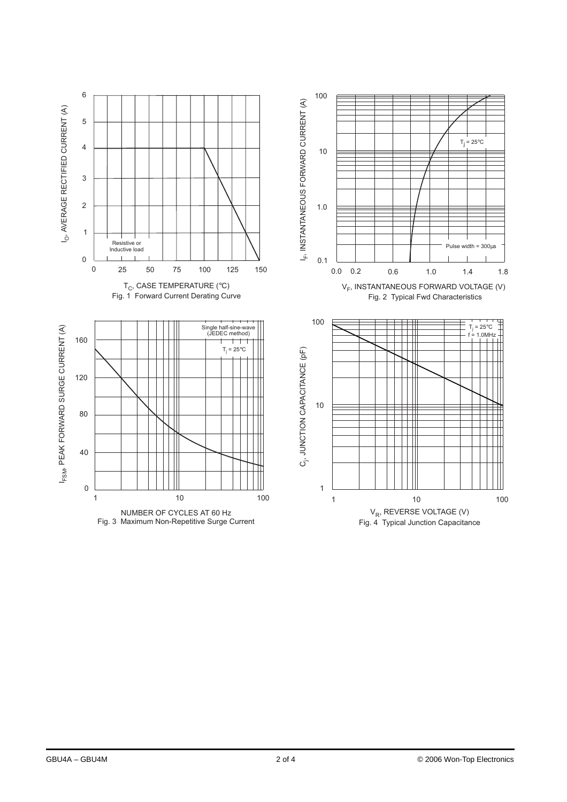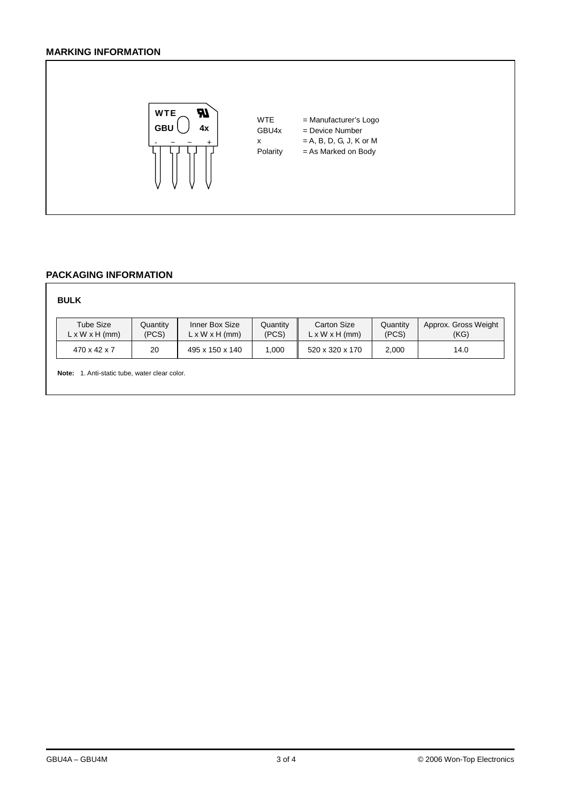# **MARKING INFORMATION**



#### **PACKAGING INFORMATION**

## **BULK**

| Tube Size                  | Quantity | Inner Box Size             | Quantitv | <b>Carton Size</b>         | Quantitv | Approx. Gross Weight |
|----------------------------|----------|----------------------------|----------|----------------------------|----------|----------------------|
| $L \times W \times H$ (mm) | (PCS)    | $L \times W \times H$ (mm) | (PCS)    | $L \times W \times H$ (mm) | (PCS)    | (KG)                 |
| 470 x 42 x 7               | 20       | 495 x 150 x 140            | .000     | 520 x 320 x 170            | 2.000    | 14.0                 |

**Note:** 1. Anti-static tube, water clear color.